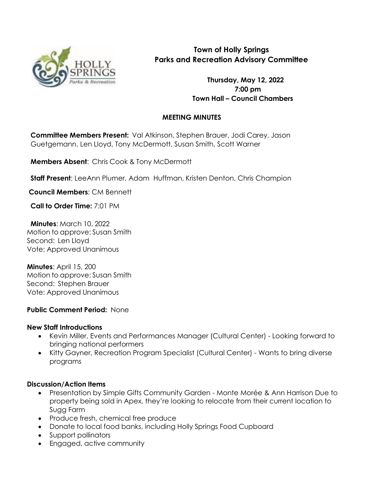

# **Town of Holly Springs Parks and Recreation Advisory Committee**

**Thursday, May 12, 2022 7:00 pm Town Hall – Council Chambers**

## **MEETING MINUTES**

**Committee Members Present:** Val Atkinson, Stephen Brauer, Jodi Carey, Jason Guetgemann, Len Lloyd, Tony McDermott, Susan Smith, Scott Warner

**Members Absent**: Chris Cook & Tony McDermott

**Staff Present**: LeeAnn Plumer, Adam Huffman, Kristen Denton, Chris Champion

**Council Members**: CM Bennett

**Call to Order Time:** 7:01 PM

**Minutes**: March 10, 2022 Motion to approve: Susan Smith Second: Len Lloyd Vote: Approved Unanimous

**Minutes**: April 15, 200 Motion to approve: Susan Smith Second: Stephen Brauer Vote: Approved Unanimous

### **Public Comment Period:** None

#### **New Staff Introductions**

- Kevin Miller, Events and Performances Manager (Cultural Center) Looking forward to bringing national performers
- Kitty Gayner, Recreation Program Specialist (Cultural Center) Wants to bring diverse programs

### **Discussion/Action Items**

- Presentation by Simple Gifts Community Garden Monte Morée & Ann Harrison Due to property being sold in Apex, they're looking to relocate from their current location to Sugg Farm
- Produce fresh, chemical free produce
- Donate to local food banks, including Holly Springs Food Cupboard
- Support pollinators
- Engaged, active community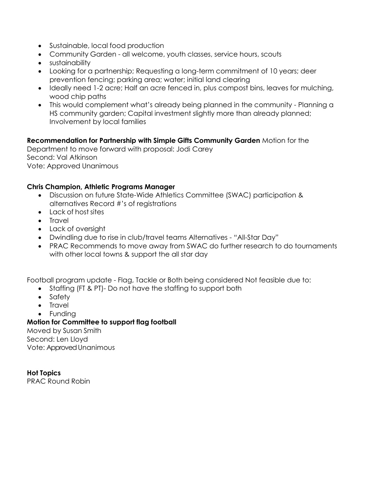- Sustainable, local food production
- Community Garden all welcome, youth classes, service hours, scouts
- sustainability
- Looking for a partnership; Requesting a long-term commitment of 10 years; deer prevention fencing; parking area; water; initial land clearing
- Ideally need 1-2 acre; Half an acre fenced in, plus compost bins, leaves for mulching, wood chip paths
- This would complement what's already being planned in the community Planning a HS community garden; Capital investment slightly more than already planned; Involvement by local families

**Recommendation for Partnership with Simple Gifts Community Garden** Motion for the Department to move forward with proposal: Jodi Carey Second: Val Atkinson Vote: Approved Unanimous

### **Chris Champion, Athletic Programs Manager**

- Discussion on future State-Wide Athletics Committee (SWAC) participation & alternatives Record #'s of registrations
- Lack of host sites
- Travel
- Lack of oversight
- Dwindling due to rise in club/travel teams Alternatives "All-Star Day"
- PRAC Recommends to move away from SWAC do further research to do tournaments with other local towns & support the all star day

Football program update - Flag, Tackle or Both being considered Not feasible due to:

- Staffing (FT & PT)- Do not have the staffing to support both
- Safety
- Travel
- Funding

**Motion for Committee to support flag football**

Moved by Susan Smith Second: Len Lloyd Vote: Approved Unanimous

**Hot Topics** PRAC Round Robin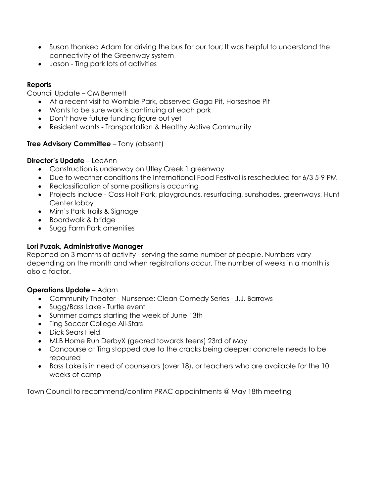- Susan thanked Adam for driving the bus for our tour; It was helpful to understand the connectivity of the Greenway system
- Jason Ting park lots of activities

## **Reports**

Council Update – CM Bennett

- At a recent visit to Womble Park, observed Gaga Pit, Horseshoe Pit
- Wants to be sure work is continuing at each park
- Don't have future funding figure out yet
- Resident wants Transportation & Healthy Active Community

### **Tree Advisory Committee** – Tony (absent)

#### **Director's Update** – LeeAnn

- Construction is underway on Utley Creek 1 greenway
- Due to weather conditions the International Food Festival is rescheduled for 6/3 5-9 PM
- Reclassification of some positions is occurring
- Projects include Cass Holt Park, playgrounds, resurfacing, sunshades, greenways, Hunt Center lobby
- Mim's Park Trails & Sianage
- Boardwalk & bridge
- Sugg Farm Park amenities

#### **Lori Puzak, Administrative Manager**

Reported on 3 months of activity - serving the same number of people. Numbers vary depending on the month and when registrations occur. The number of weeks in a month is also a factor.

#### **Operations Update** – Adam

- Community Theater Nunsense; Clean Comedy Series J.J. Barrows
- Sugg/Bass Lake Turtle event
- Summer camps starting the week of June 13th
- Ting Soccer College All-Stars
- Dick Sears Field
- MLB Home Run DerbyX (geared towards teens) 23rd of May
- Concourse at Ting stopped due to the cracks being deeper; concrete needs to be repoured
- Bass Lake is in need of counselors (over 18), or teachers who are available for the 10 weeks of camp

Town Council to recommend/confirm PRAC appointments @ May 18th meeting